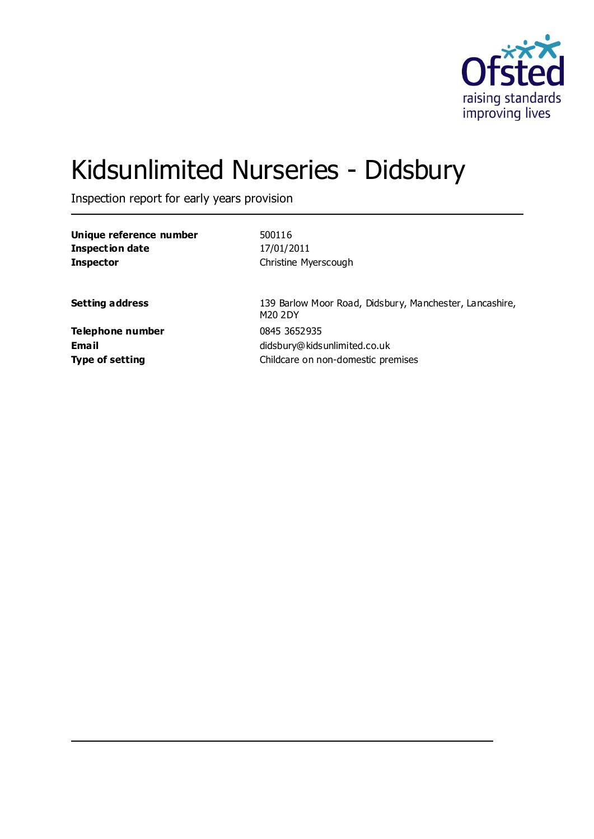

# Kidsunlimited Nurseries - Didsbury

Inspection report for early years provision

| Unique reference number | 500116                                                             |
|-------------------------|--------------------------------------------------------------------|
| <b>Inspection date</b>  | 17/01/2011                                                         |
| <b>Inspector</b>        | Christine Myerscough                                               |
| <b>Setting address</b>  | 139 Barlow Moor Road, Didsbury, Manchester, Lancashire,<br>M20 2DY |
| <b>Telephone number</b> | 0845 3652 935                                                      |
| Email                   | didsbury@kidsunlimited.co.uk                                       |
| <b>Type of setting</b>  | Childcare on non-domestic premises                                 |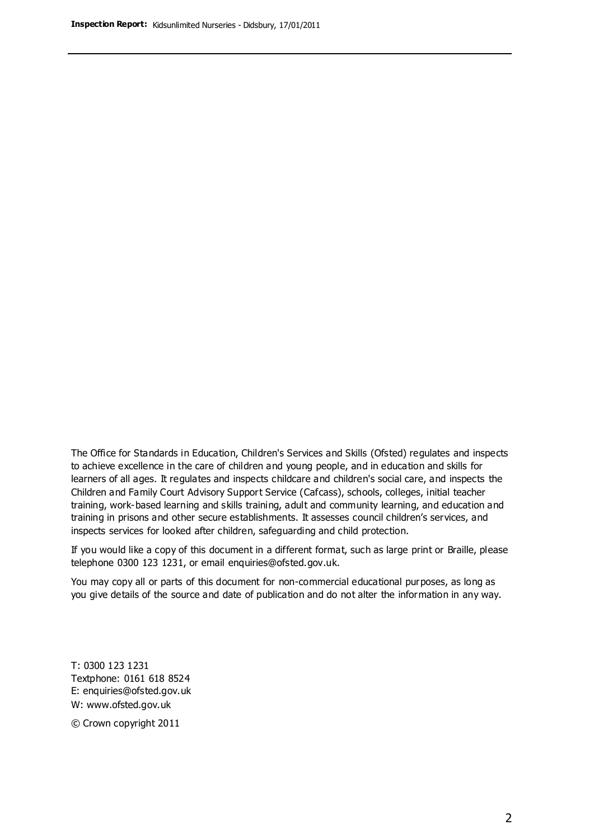The Office for Standards in Education, Children's Services and Skills (Ofsted) regulates and inspects to achieve excellence in the care of children and young people, and in education and skills for learners of all ages. It regulates and inspects childcare and children's social care, and inspects the Children and Family Court Advisory Support Service (Cafcass), schools, colleges, initial teacher training, work-based learning and skills training, adult and community learning, and education and training in prisons and other secure establishments. It assesses council children's services, and inspects services for looked after children, safeguarding and child protection.

If you would like a copy of this document in a different format, such as large print or Braille, please telephone 0300 123 1231, or email enquiries@ofsted.gov.uk.

You may copy all or parts of this document for non-commercial educational purposes, as long as you give details of the source and date of publication and do not alter the information in any way.

T: 0300 123 1231 Textphone: 0161 618 8524 E: enquiries@ofsted.gov.uk W: [www.ofsted.gov.uk](http://www.ofsted.gov.uk/)

© Crown copyright 2011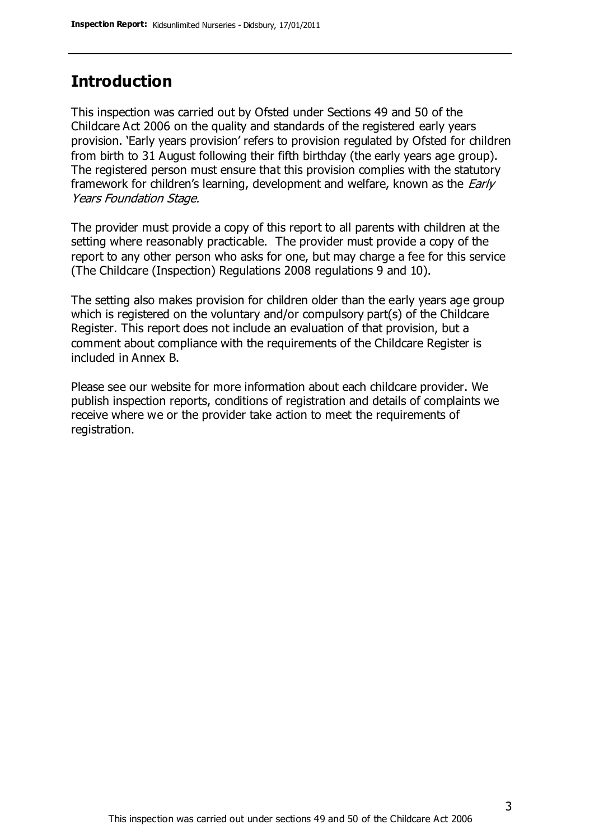## **Introduction**

This inspection was carried out by Ofsted under Sections 49 and 50 of the Childcare Act 2006 on the quality and standards of the registered early years provision. 'Early years provision' refers to provision regulated by Ofsted for children from birth to 31 August following their fifth birthday (the early years age group). The registered person must ensure that this provision complies with the statutory framework for children's learning, development and welfare, known as the *Early* Years Foundation Stage.

The provider must provide a copy of this report to all parents with children at the setting where reasonably practicable. The provider must provide a copy of the report to any other person who asks for one, but may charge a fee for this service (The Childcare (Inspection) Regulations 2008 regulations 9 and 10).

The setting also makes provision for children older than the early years age group which is registered on the voluntary and/or compulsory part(s) of the Childcare Register. This report does not include an evaluation of that provision, but a comment about compliance with the requirements of the Childcare Register is included in Annex B.

Please see our website for more information about each childcare provider. We publish inspection reports, conditions of registration and details of complaints we receive where we or the provider take action to meet the requirements of registration.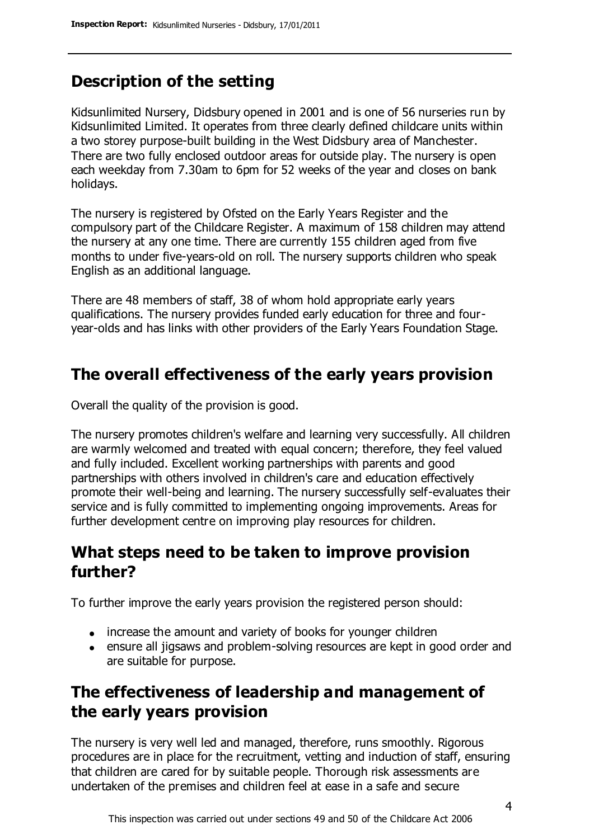## **Description of the setting**

Kidsunlimited Nursery, Didsbury opened in 2001 and is one of 56 nurseries run by Kidsunlimited Limited. It operates from three clearly defined childcare units within a two storey purpose-built building in the West Didsbury area of Manchester. There are two fully enclosed outdoor areas for outside play. The nursery is open each weekday from 7.30am to 6pm for 52 weeks of the year and closes on bank holidays.

The nursery is registered by Ofsted on the Early Years Register and the compulsory part of the Childcare Register. A maximum of 158 children may attend the nursery at any one time. There are currently 155 children aged from five months to under five-years-old on roll. The nursery supports children who speak English as an additional language.

There are 48 members of staff, 38 of whom hold appropriate early years qualifications. The nursery provides funded early education for three and fouryear-olds and has links with other providers of the Early Years Foundation Stage.

#### **The overall effectiveness of the early years provision**

Overall the quality of the provision is good.

The nursery promotes children's welfare and learning very successfully. All children are warmly welcomed and treated with equal concern; therefore, they feel valued and fully included. Excellent working partnerships with parents and good partnerships with others involved in children's care and education effectively promote their well-being and learning. The nursery successfully self-evaluates their service and is fully committed to implementing ongoing improvements. Areas for further development centre on improving play resources for children.

## **What steps need to be taken to improve provision further?**

To further improve the early years provision the registered person should:

- increase the amount and variety of books for younger children
- ensure all jigsaws and problem-solving resources are kept in good order and are suitable for purpose.

## **The effectiveness of leadership and management of the early years provision**

The nursery is very well led and managed, therefore, runs smoothly. Rigorous procedures are in place for the recruitment, vetting and induction of staff, ensuring that children are cared for by suitable people. Thorough risk assessments are undertaken of the premises and children feel at ease in a safe and secure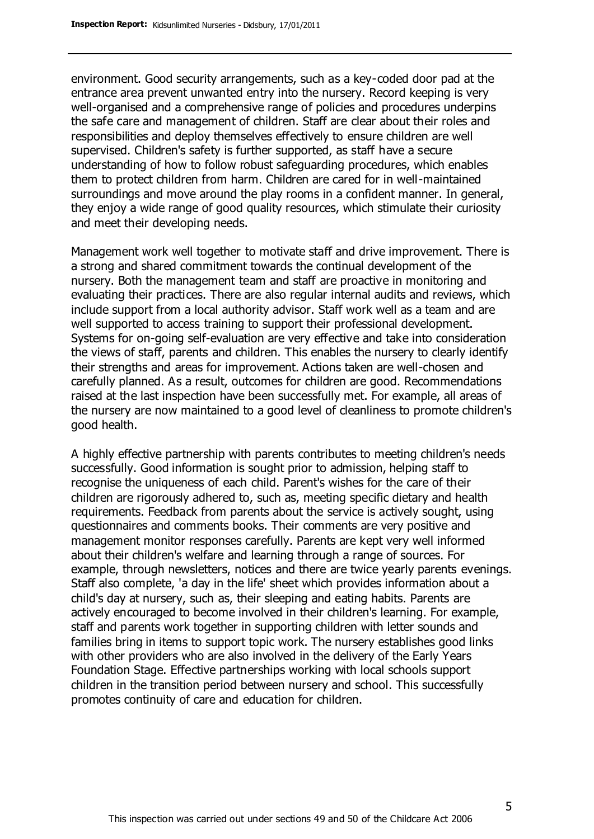environment. Good security arrangements, such as a key-coded door pad at the entrance area prevent unwanted entry into the nursery. Record keeping is very well-organised and a comprehensive range of policies and procedures underpins the safe care and management of children. Staff are clear about their roles and responsibilities and deploy themselves effectively to ensure children are well supervised. Children's safety is further supported, as staff have a secure understanding of how to follow robust safeguarding procedures, which enables them to protect children from harm. Children are cared for in well-maintained surroundings and move around the play rooms in a confident manner. In general, they enjoy a wide range of good quality resources, which stimulate their curiosity and meet their developing needs.

Management work well together to motivate staff and drive improvement. There is a strong and shared commitment towards the continual development of the nursery. Both the management team and staff are proactive in monitoring and evaluating their practices. There are also regular internal audits and reviews, which include support from a local authority advisor. Staff work well as a team and are well supported to access training to support their professional development. Systems for on-going self-evaluation are very effective and take into consideration the views of staff, parents and children. This enables the nursery to clearly identify their strengths and areas for improvement. Actions taken are well-chosen and carefully planned. As a result, outcomes for children are good. Recommendations raised at the last inspection have been successfully met. For example, all areas of the nursery are now maintained to a good level of cleanliness to promote children's good health.

A highly effective partnership with parents contributes to meeting children's needs successfully. Good information is sought prior to admission, helping staff to recognise the uniqueness of each child. Parent's wishes for the care of their children are rigorously adhered to, such as, meeting specific dietary and health requirements. Feedback from parents about the service is actively sought, using questionnaires and comments books. Their comments are very positive and management monitor responses carefully. Parents are kept very well informed about their children's welfare and learning through a range of sources. For example, through newsletters, notices and there are twice yearly parents evenings. Staff also complete, 'a day in the life' sheet which provides information about a child's day at nursery, such as, their sleeping and eating habits. Parents are actively encouraged to become involved in their children's learning. For example, staff and parents work together in supporting children with letter sounds and families bring in items to support topic work. The nursery establishes good links with other providers who are also involved in the delivery of the Early Years Foundation Stage. Effective partnerships working with local schools support children in the transition period between nursery and school. This successfully promotes continuity of care and education for children.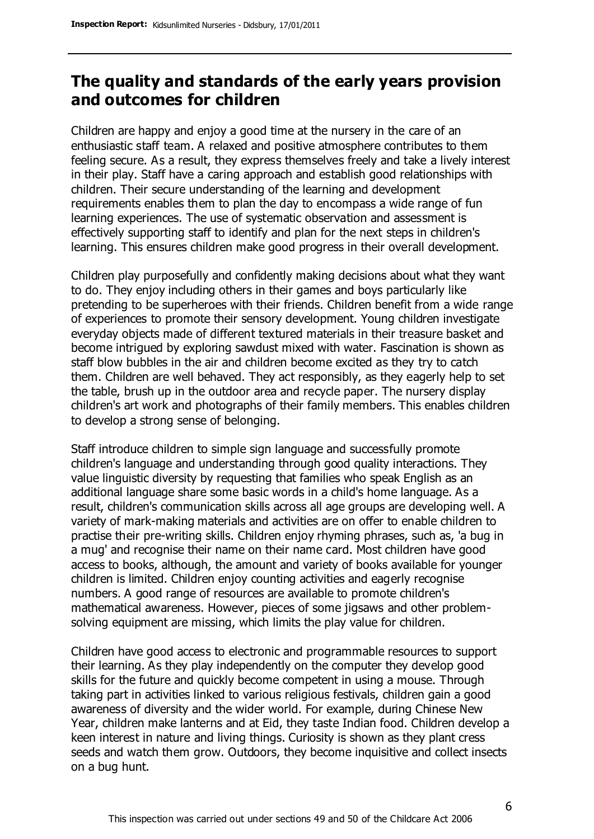## **The quality and standards of the early years provision and outcomes for children**

Children are happy and enjoy a good time at the nursery in the care of an enthusiastic staff team. A relaxed and positive atmosphere contributes to them feeling secure. As a result, they express themselves freely and take a lively interest in their play. Staff have a caring approach and establish good relationships with children. Their secure understanding of the learning and development requirements enables them to plan the day to encompass a wide range of fun learning experiences. The use of systematic observation and assessment is effectively supporting staff to identify and plan for the next steps in children's learning. This ensures children make good progress in their overall development.

Children play purposefully and confidently making decisions about what they want to do. They enjoy including others in their games and boys particularly like pretending to be superheroes with their friends. Children benefit from a wide range of experiences to promote their sensory development. Young children investigate everyday objects made of different textured materials in their treasure basket and become intrigued by exploring sawdust mixed with water. Fascination is shown as staff blow bubbles in the air and children become excited as they try to catch them. Children are well behaved. They act responsibly, as they eagerly help to set the table, brush up in the outdoor area and recycle paper. The nursery display children's art work and photographs of their family members. This enables children to develop a strong sense of belonging.

Staff introduce children to simple sign language and successfully promote children's language and understanding through good quality interactions. They value linguistic diversity by requesting that families who speak English as an additional language share some basic words in a child's home language. As a result, children's communication skills across all age groups are developing well. A variety of mark-making materials and activities are on offer to enable children to practise their pre-writing skills. Children enjoy rhyming phrases, such as, 'a bug in a mug' and recognise their name on their name card. Most children have good access to books, although, the amount and variety of books available for younger children is limited. Children enjoy counting activities and eagerly recognise numbers. A good range of resources are available to promote children's mathematical awareness. However, pieces of some jigsaws and other problemsolving equipment are missing, which limits the play value for children.

Children have good access to electronic and programmable resources to support their learning. As they play independently on the computer they develop good skills for the future and quickly become competent in using a mouse. Through taking part in activities linked to various religious festivals, children gain a good awareness of diversity and the wider world. For example, during Chinese New Year, children make lanterns and at Eid, they taste Indian food. Children develop a keen interest in nature and living things. Curiosity is shown as they plant cress seeds and watch them grow. Outdoors, they become inquisitive and collect insects on a bug hunt.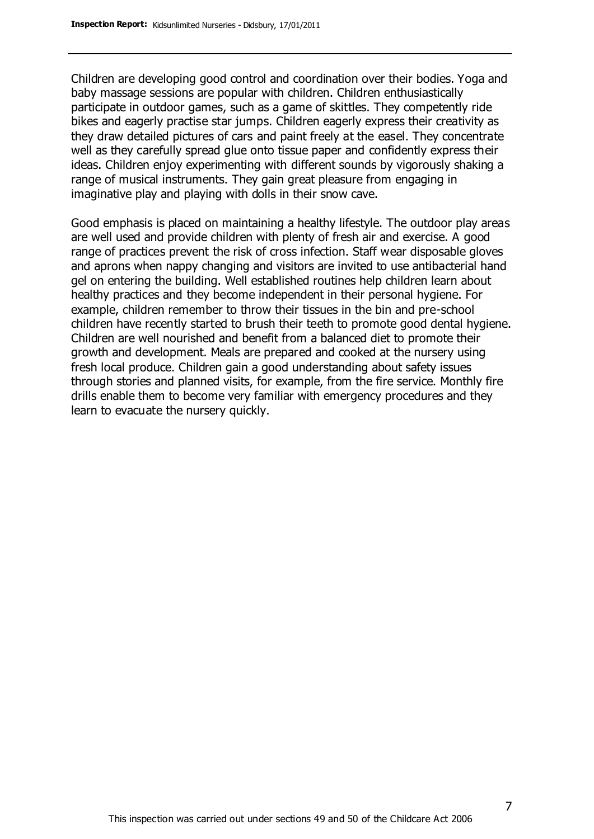Children are developing good control and coordination over their bodies. Yoga and baby massage sessions are popular with children. Children enthusiastically participate in outdoor games, such as a game of skittles. They competently ride bikes and eagerly practise star jumps. Children eagerly express their creativity as they draw detailed pictures of cars and paint freely at the easel. They concentrate well as they carefully spread glue onto tissue paper and confidently express their ideas. Children enjoy experimenting with different sounds by vigorously shaking a range of musical instruments. They gain great pleasure from engaging in imaginative play and playing with dolls in their snow cave.

Good emphasis is placed on maintaining a healthy lifestyle. The outdoor play areas are well used and provide children with plenty of fresh air and exercise. A good range of practices prevent the risk of cross infection. Staff wear disposable gloves and aprons when nappy changing and visitors are invited to use antibacterial hand gel on entering the building. Well established routines help children learn about healthy practices and they become independent in their personal hygiene. For example, children remember to throw their tissues in the bin and pre-school children have recently started to brush their teeth to promote good dental hygiene. Children are well nourished and benefit from a balanced diet to promote their growth and development. Meals are prepared and cooked at the nursery using fresh local produce. Children gain a good understanding about safety issues through stories and planned visits, for example, from the fire service. Monthly fire drills enable them to become very familiar with emergency procedures and they learn to evacuate the nursery quickly.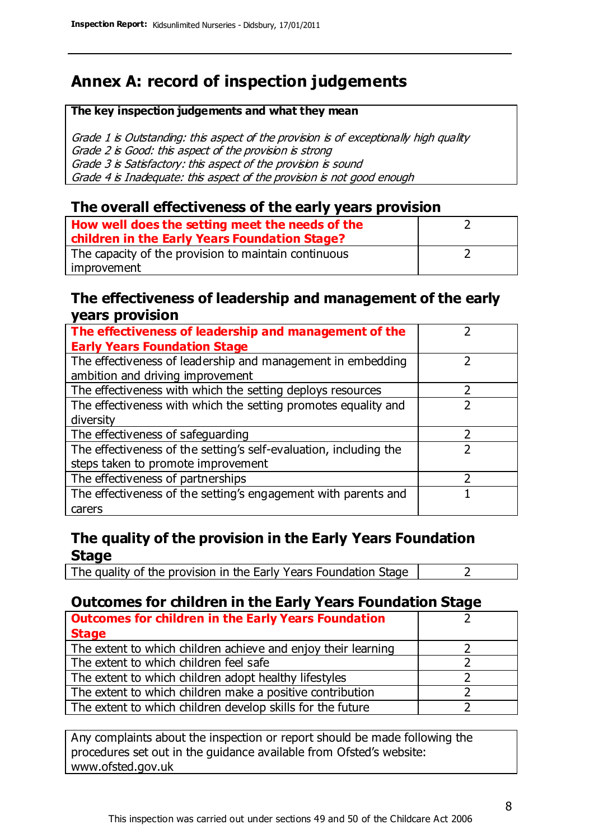## **Annex A: record of inspection judgements**

#### **The key inspection judgements and what they mean**

Grade 1 is Outstanding: this aspect of the provision is of exceptionally high quality Grade 2 is Good: this aspect of the provision is strong Grade 3 is Satisfactory: this aspect of the provision is sound Grade 4 is Inadequate: this aspect of the provision is not good enough

#### **The overall effectiveness of the early years provision**

| How well does the setting meet the needs of the<br>children in the Early Years Foundation Stage? |  |
|--------------------------------------------------------------------------------------------------|--|
| The capacity of the provision to maintain continuous                                             |  |
| improvement                                                                                      |  |

#### **The effectiveness of leadership and management of the early years provision**

| The effectiveness of leadership and management of the                                           |  |
|-------------------------------------------------------------------------------------------------|--|
| <b>Early Years Foundation Stage</b>                                                             |  |
| The effectiveness of leadership and management in embedding<br>ambition and driving improvement |  |
|                                                                                                 |  |
| The effectiveness with which the setting deploys resources                                      |  |
| The effectiveness with which the setting promotes equality and                                  |  |
| diversity                                                                                       |  |
| The effectiveness of safeguarding                                                               |  |
| The effectiveness of the setting's self-evaluation, including the                               |  |
| steps taken to promote improvement                                                              |  |
| The effectiveness of partnerships                                                               |  |
| The effectiveness of the setting's engagement with parents and                                  |  |
| carers                                                                                          |  |

#### **The quality of the provision in the Early Years Foundation Stage**

The quality of the provision in the Early Years Foundation Stage  $\vert$  2

#### **Outcomes for children in the Early Years Foundation Stage**

| <b>Outcomes for children in the Early Years Foundation</b>    |  |
|---------------------------------------------------------------|--|
| <b>Stage</b>                                                  |  |
| The extent to which children achieve and enjoy their learning |  |
| The extent to which children feel safe                        |  |
| The extent to which children adopt healthy lifestyles         |  |
| The extent to which children make a positive contribution     |  |
| The extent to which children develop skills for the future    |  |

Any complaints about the inspection or report should be made following the procedures set out in the guidance available from Ofsted's website: www.ofsted.gov.uk